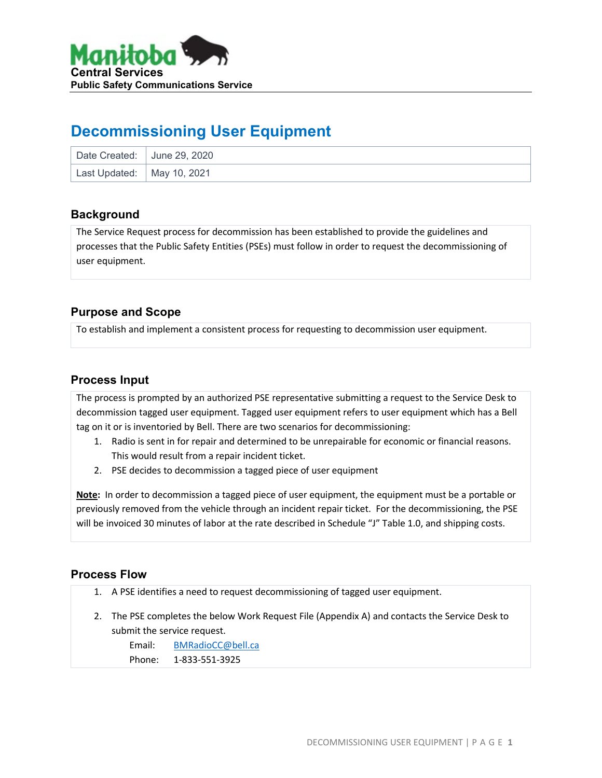

## **Decommissioning User Equipment**

| Date Created: June 29, 2020  |  |
|------------------------------|--|
| Last Updated:   May 10, 2021 |  |

#### **Background**

The Service Request process for decommission has been established to provide the guidelines and processes that the Public Safety Entities (PSEs) must follow in order to request the decommissioning of user equipment.

## **Purpose and Scope**

To establish and implement a consistent process for requesting to decommission user equipment.

#### **Process Input**

The process is prompted by an authorized PSE representative submitting a request to the Service Desk to decommission tagged user equipment. Tagged user equipment refers to user equipment which has a Bell tag on it or is inventoried by Bell. There are two scenarios for decommissioning:

- 1. Radio is sent in for repair and determined to be unrepairable for economic or financial reasons. This would result from a repair incident ticket.
- 2. PSE decides to decommission a tagged piece of user equipment

**Note:** In order to decommission a tagged piece of user equipment, the equipment must be a portable or previously removed from the vehicle through an incident repair ticket. For the decommissioning, the PSE will be invoiced 30 minutes of labor at the rate described in Schedule "J" Table 1.0, and shipping costs.

## **Process Flow**

- 1. A PSE identifies a need to request decommissioning of tagged user equipment.
- 2. The PSE completes the below Work Request File (Appendix A) and contacts the Service Desk to submit the service request.

Email: [BMRadioCC@bell.ca](mailto:BMRadioCC@bell.ca)

Phone: 1-833-551-3925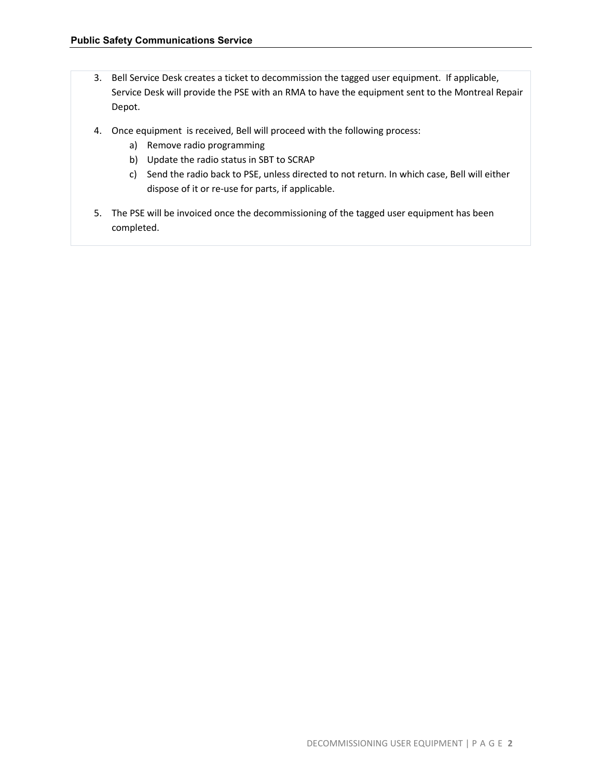- 3. Bell Service Desk creates a ticket to decommission the tagged user equipment. If applicable, Service Desk will provide the PSE with an RMA to have the equipment sent to the Montreal Repair Depot.
- 4. Once equipment is received, Bell will proceed with the following process:
	- a) Remove radio programming
	- b) Update the radio status in SBT to SCRAP
	- c) Send the radio back to PSE, unless directed to not return. In which case, Bell will either dispose of it or re-use for parts, if applicable.
- 5. The PSE will be invoiced once the decommissioning of the tagged user equipment has been completed.